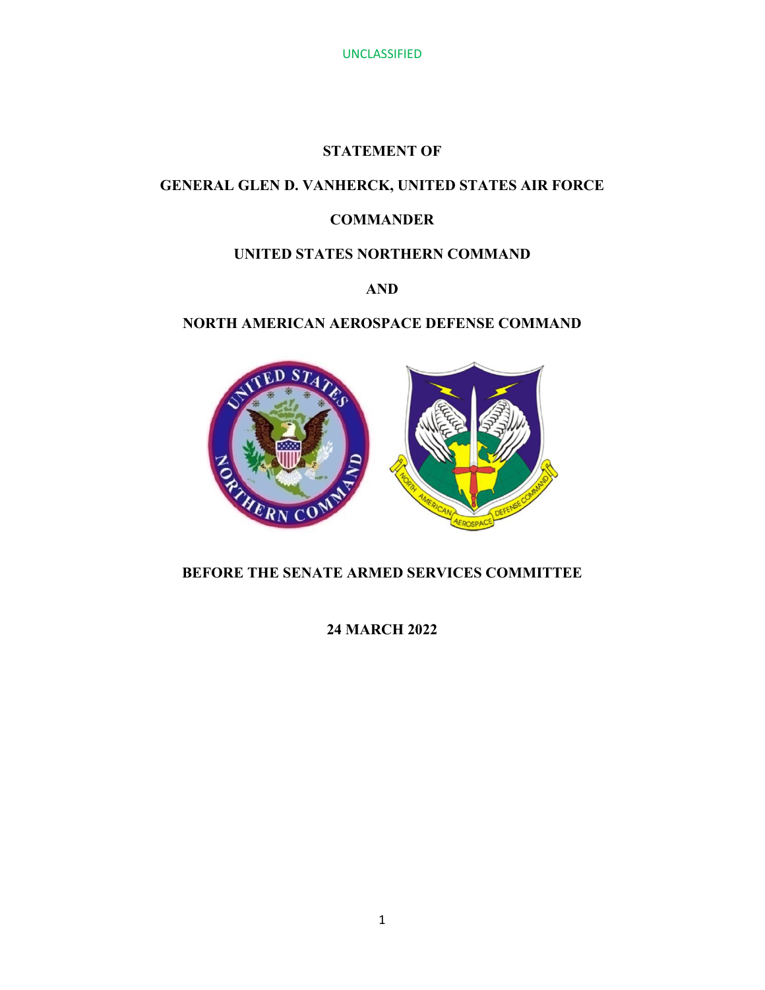## **STATEMENT OF**

# **GENERAL GLEN D. VANHERCK, UNITED STATES AIR FORCE**

# **COMMANDER**

# **UNITED STATES NORTHERN COMMAND**

# **AND**

# **NORTH AMERICAN AEROSPACE DEFENSE COMMAND**



# **BEFORE THE SENATE ARMED SERVICES COMMITTEE**

**24 MARCH 2022**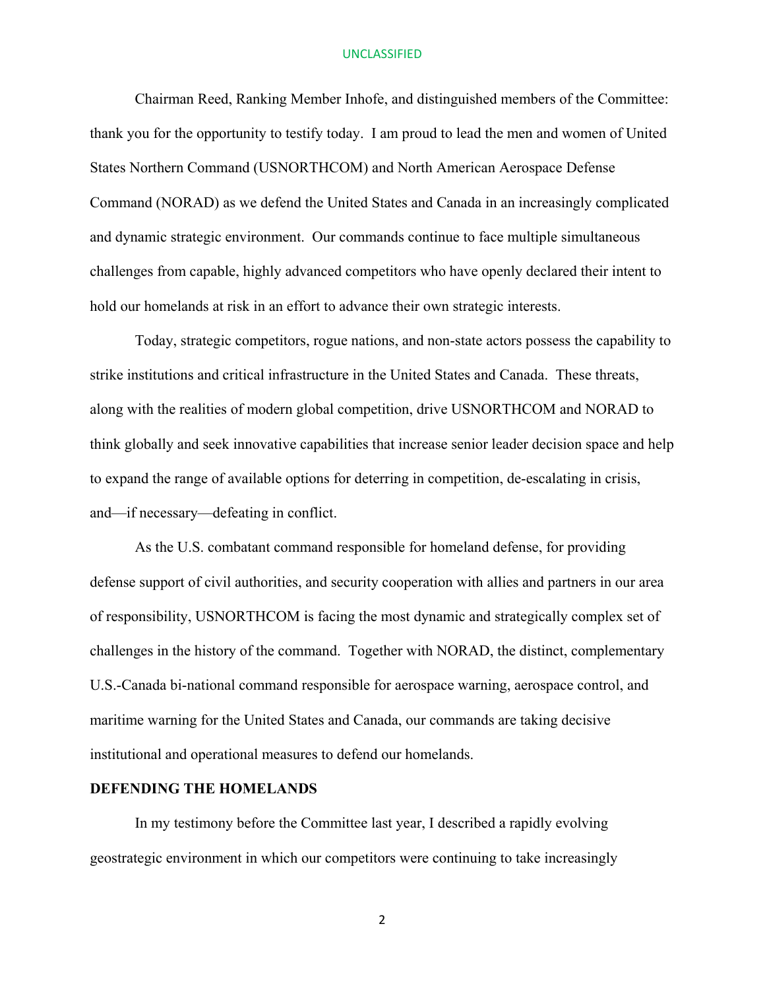Chairman Reed, Ranking Member Inhofe, and distinguished members of the Committee: thank you for the opportunity to testify today. I am proud to lead the men and women of United States Northern Command (USNORTHCOM) and North American Aerospace Defense Command (NORAD) as we defend the United States and Canada in an increasingly complicated and dynamic strategic environment. Our commands continue to face multiple simultaneous challenges from capable, highly advanced competitors who have openly declared their intent to hold our homelands at risk in an effort to advance their own strategic interests.

Today, strategic competitors, rogue nations, and non-state actors possess the capability to strike institutions and critical infrastructure in the United States and Canada. These threats, along with the realities of modern global competition, drive USNORTHCOM and NORAD to think globally and seek innovative capabilities that increase senior leader decision space and help to expand the range of available options for deterring in competition, de-escalating in crisis, and—if necessary—defeating in conflict.

As the U.S. combatant command responsible for homeland defense, for providing defense support of civil authorities, and security cooperation with allies and partners in our area of responsibility, USNORTHCOM is facing the most dynamic and strategically complex set of challenges in the history of the command. Together with NORAD, the distinct, complementary U.S.-Canada bi-national command responsible for aerospace warning, aerospace control, and maritime warning for the United States and Canada, our commands are taking decisive institutional and operational measures to defend our homelands.

## **DEFENDING THE HOMELANDS**

In my testimony before the Committee last year, I described a rapidly evolving geostrategic environment in which our competitors were continuing to take increasingly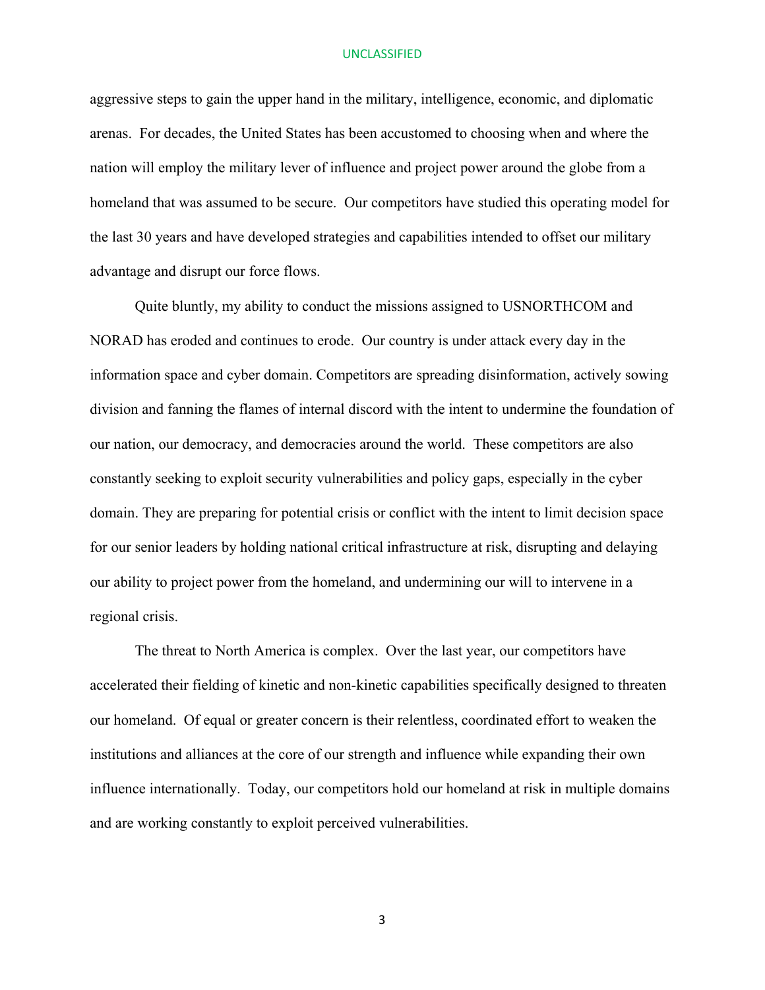aggressive steps to gain the upper hand in the military, intelligence, economic, and diplomatic arenas. For decades, the United States has been accustomed to choosing when and where the nation will employ the military lever of influence and project power around the globe from a homeland that was assumed to be secure. Our competitors have studied this operating model for the last 30 years and have developed strategies and capabilities intended to offset our military advantage and disrupt our force flows.

Quite bluntly, my ability to conduct the missions assigned to USNORTHCOM and NORAD has eroded and continues to erode. Our country is under attack every day in the information space and cyber domain. Competitors are spreading disinformation, actively sowing division and fanning the flames of internal discord with the intent to undermine the foundation of our nation, our democracy, and democracies around the world. These competitors are also constantly seeking to exploit security vulnerabilities and policy gaps, especially in the cyber domain. They are preparing for potential crisis or conflict with the intent to limit decision space for our senior leaders by holding national critical infrastructure at risk, disrupting and delaying our ability to project power from the homeland, and undermining our will to intervene in a regional crisis.

The threat to North America is complex. Over the last year, our competitors have accelerated their fielding of kinetic and non-kinetic capabilities specifically designed to threaten our homeland. Of equal or greater concern is their relentless, coordinated effort to weaken the institutions and alliances at the core of our strength and influence while expanding their own influence internationally. Today, our competitors hold our homeland at risk in multiple domains and are working constantly to exploit perceived vulnerabilities.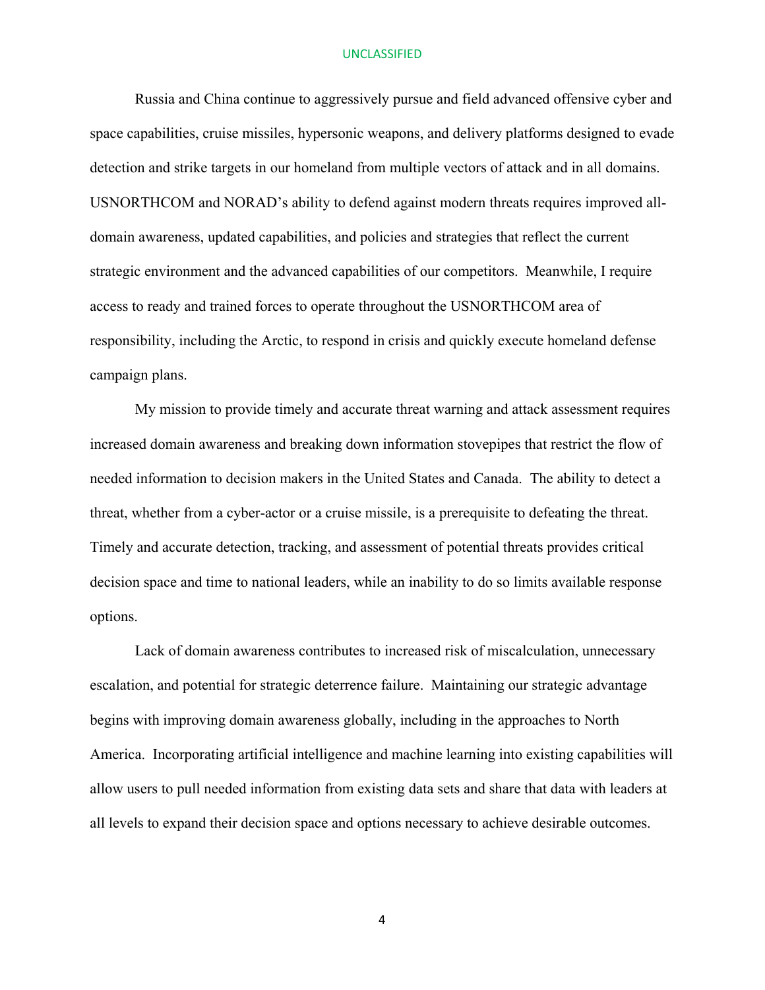Russia and China continue to aggressively pursue and field advanced offensive cyber and space capabilities, cruise missiles, hypersonic weapons, and delivery platforms designed to evade detection and strike targets in our homeland from multiple vectors of attack and in all domains. USNORTHCOM and NORAD's ability to defend against modern threats requires improved alldomain awareness, updated capabilities, and policies and strategies that reflect the current strategic environment and the advanced capabilities of our competitors. Meanwhile, I require access to ready and trained forces to operate throughout the USNORTHCOM area of responsibility, including the Arctic, to respond in crisis and quickly execute homeland defense campaign plans.

My mission to provide timely and accurate threat warning and attack assessment requires increased domain awareness and breaking down information stovepipes that restrict the flow of needed information to decision makers in the United States and Canada. The ability to detect a threat, whether from a cyber-actor or a cruise missile, is a prerequisite to defeating the threat. Timely and accurate detection, tracking, and assessment of potential threats provides critical decision space and time to national leaders, while an inability to do so limits available response options.

Lack of domain awareness contributes to increased risk of miscalculation, unnecessary escalation, and potential for strategic deterrence failure. Maintaining our strategic advantage begins with improving domain awareness globally, including in the approaches to North America. Incorporating artificial intelligence and machine learning into existing capabilities will allow users to pull needed information from existing data sets and share that data with leaders at all levels to expand their decision space and options necessary to achieve desirable outcomes.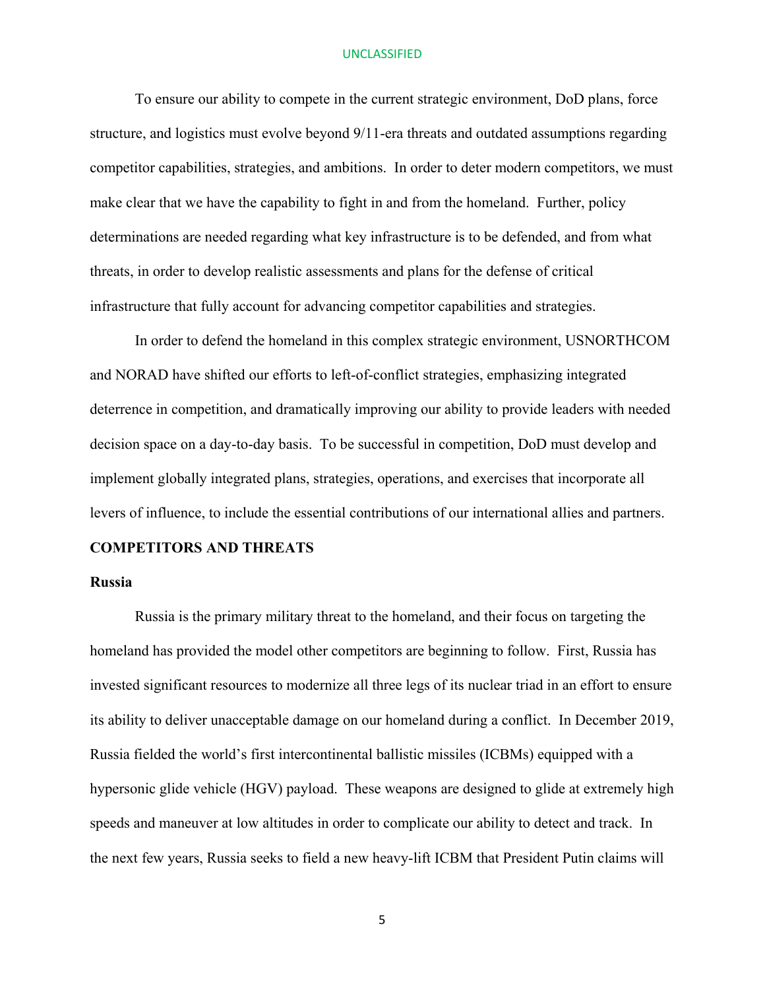To ensure our ability to compete in the current strategic environment, DoD plans, force structure, and logistics must evolve beyond 9/11-era threats and outdated assumptions regarding competitor capabilities, strategies, and ambitions. In order to deter modern competitors, we must make clear that we have the capability to fight in and from the homeland. Further, policy determinations are needed regarding what key infrastructure is to be defended, and from what threats, in order to develop realistic assessments and plans for the defense of critical infrastructure that fully account for advancing competitor capabilities and strategies.

In order to defend the homeland in this complex strategic environment, USNORTHCOM and NORAD have shifted our efforts to left-of-conflict strategies, emphasizing integrated deterrence in competition, and dramatically improving our ability to provide leaders with needed decision space on a day-to-day basis. To be successful in competition, DoD must develop and implement globally integrated plans, strategies, operations, and exercises that incorporate all levers of influence, to include the essential contributions of our international allies and partners.

## **COMPETITORS AND THREATS**

## **Russia**

Russia is the primary military threat to the homeland, and their focus on targeting the homeland has provided the model other competitors are beginning to follow. First, Russia has invested significant resources to modernize all three legs of its nuclear triad in an effort to ensure its ability to deliver unacceptable damage on our homeland during a conflict. In December 2019, Russia fielded the world's first intercontinental ballistic missiles (ICBMs) equipped with a hypersonic glide vehicle (HGV) payload. These weapons are designed to glide at extremely high speeds and maneuver at low altitudes in order to complicate our ability to detect and track. In the next few years, Russia seeks to field a new heavy-lift ICBM that President Putin claims will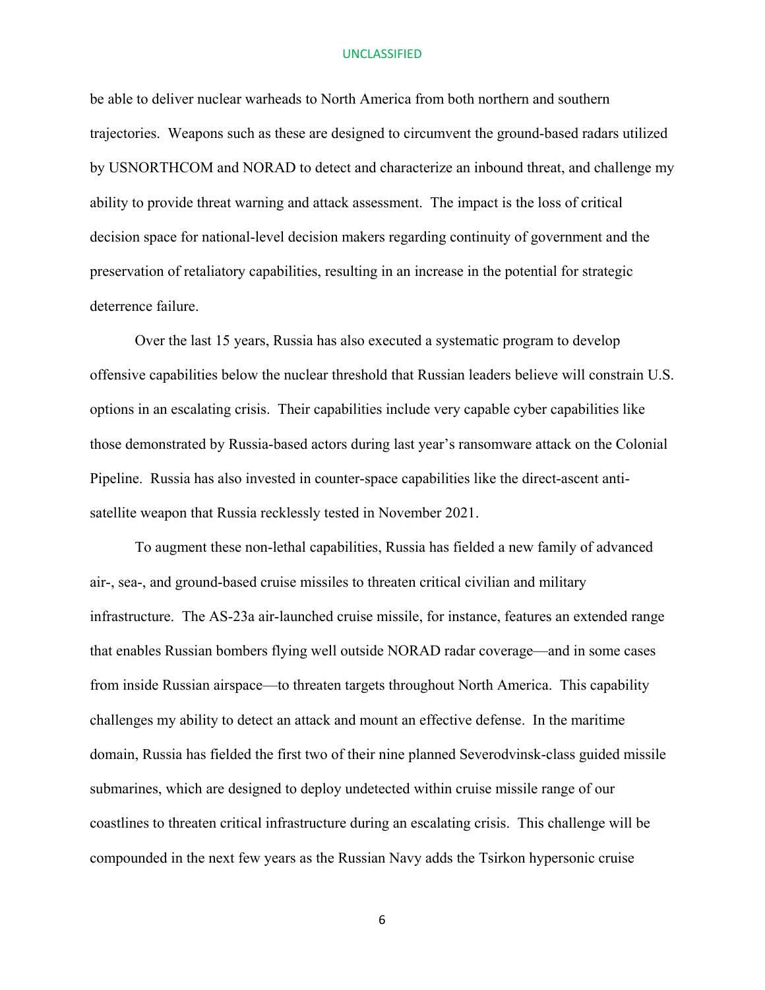be able to deliver nuclear warheads to North America from both northern and southern trajectories. Weapons such as these are designed to circumvent the ground-based radars utilized by USNORTHCOM and NORAD to detect and characterize an inbound threat, and challenge my ability to provide threat warning and attack assessment. The impact is the loss of critical decision space for national-level decision makers regarding continuity of government and the preservation of retaliatory capabilities, resulting in an increase in the potential for strategic deterrence failure.

Over the last 15 years, Russia has also executed a systematic program to develop offensive capabilities below the nuclear threshold that Russian leaders believe will constrain U.S. options in an escalating crisis. Their capabilities include very capable cyber capabilities like those demonstrated by Russia-based actors during last year's ransomware attack on the Colonial Pipeline. Russia has also invested in counter-space capabilities like the direct-ascent antisatellite weapon that Russia recklessly tested in November 2021.

To augment these non-lethal capabilities, Russia has fielded a new family of advanced air-, sea-, and ground-based cruise missiles to threaten critical civilian and military infrastructure. The AS-23a air-launched cruise missile, for instance, features an extended range that enables Russian bombers flying well outside NORAD radar coverage—and in some cases from inside Russian airspace—to threaten targets throughout North America. This capability challenges my ability to detect an attack and mount an effective defense. In the maritime domain, Russia has fielded the first two of their nine planned Severodvinsk-class guided missile submarines, which are designed to deploy undetected within cruise missile range of our coastlines to threaten critical infrastructure during an escalating crisis. This challenge will be compounded in the next few years as the Russian Navy adds the Tsirkon hypersonic cruise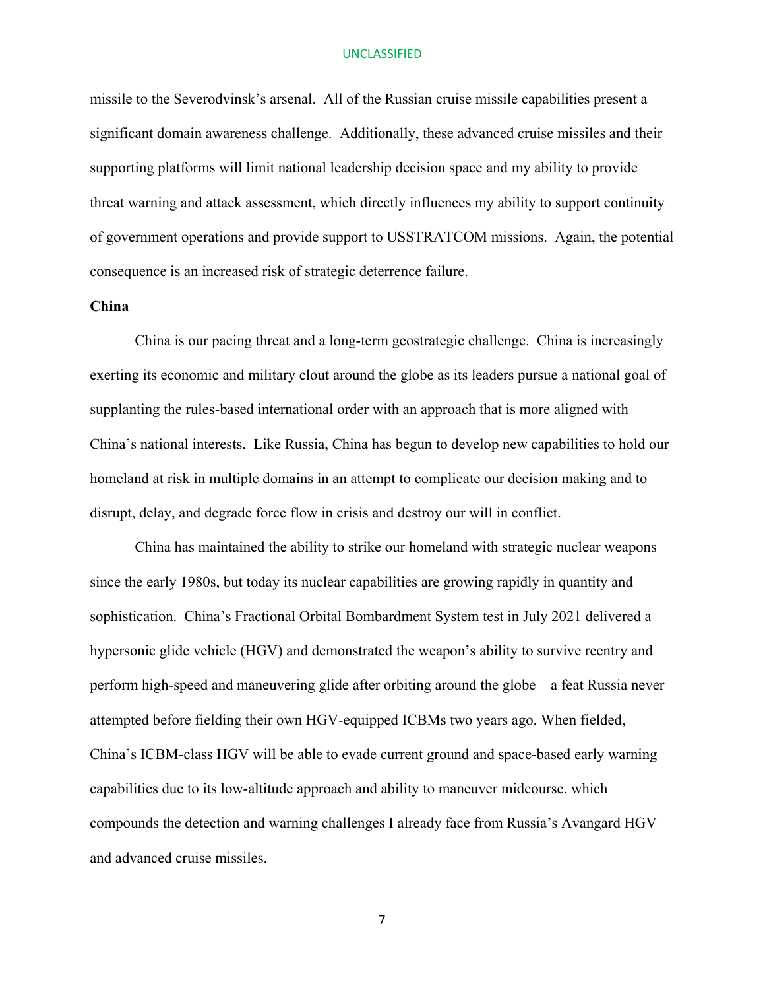missile to the Severodvinsk's arsenal. All of the Russian cruise missile capabilities present a significant domain awareness challenge. Additionally, these advanced cruise missiles and their supporting platforms will limit national leadership decision space and my ability to provide threat warning and attack assessment, which directly influences my ability to support continuity of government operations and provide support to USSTRATCOM missions. Again, the potential consequence is an increased risk of strategic deterrence failure.

## **China**

China is our pacing threat and a long-term geostrategic challenge. China is increasingly exerting its economic and military clout around the globe as its leaders pursue a national goal of supplanting the rules-based international order with an approach that is more aligned with China's national interests. Like Russia, China has begun to develop new capabilities to hold our homeland at risk in multiple domains in an attempt to complicate our decision making and to disrupt, delay, and degrade force flow in crisis and destroy our will in conflict.

China has maintained the ability to strike our homeland with strategic nuclear weapons since the early 1980s, but today its nuclear capabilities are growing rapidly in quantity and sophistication. China's Fractional Orbital Bombardment System test in July 2021 delivered a hypersonic glide vehicle (HGV) and demonstrated the weapon's ability to survive reentry and perform high-speed and maneuvering glide after orbiting around the globe—a feat Russia never attempted before fielding their own HGV-equipped ICBMs two years ago. When fielded, China's ICBM-class HGV will be able to evade current ground and space-based early warning capabilities due to its low-altitude approach and ability to maneuver midcourse, which compounds the detection and warning challenges I already face from Russia's Avangard HGV and advanced cruise missiles.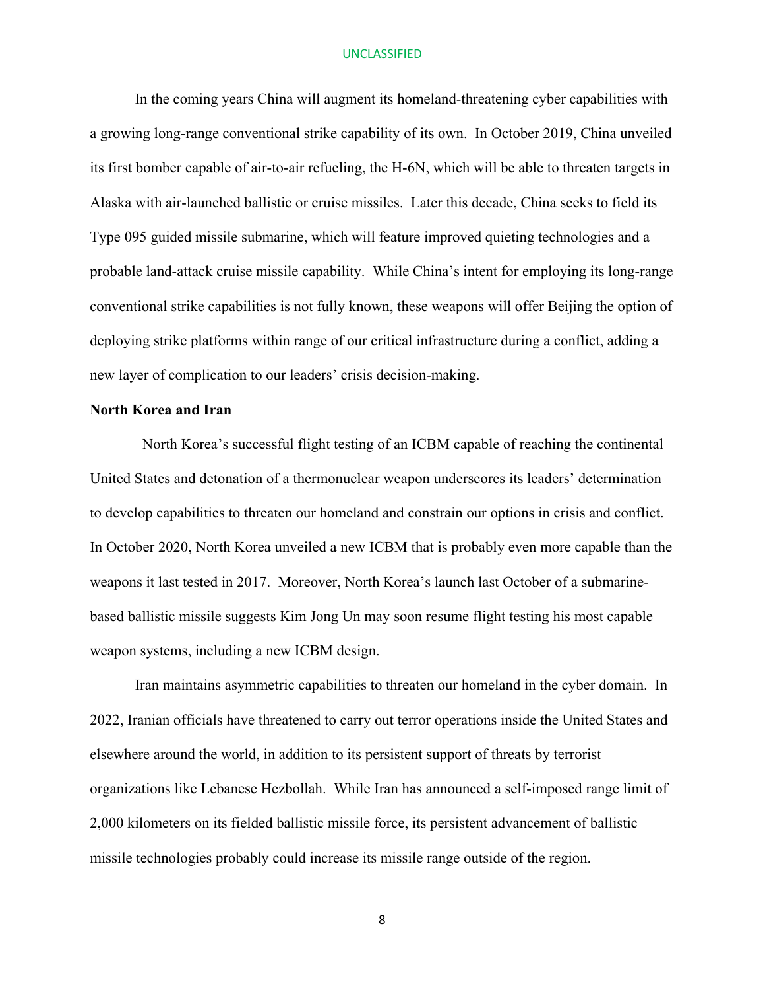In the coming years China will augment its homeland-threatening cyber capabilities with a growing long-range conventional strike capability of its own. In October 2019, China unveiled its first bomber capable of air-to-air refueling, the H-6N, which will be able to threaten targets in Alaska with air-launched ballistic or cruise missiles. Later this decade, China seeks to field its Type 095 guided missile submarine, which will feature improved quieting technologies and a probable land-attack cruise missile capability. While China's intent for employing its long-range conventional strike capabilities is not fully known, these weapons will offer Beijing the option of deploying strike platforms within range of our critical infrastructure during a conflict, adding a new layer of complication to our leaders' crisis decision-making.

## **North Korea and Iran**

 North Korea's successful flight testing of an ICBM capable of reaching the continental United States and detonation of a thermonuclear weapon underscores its leaders' determination to develop capabilities to threaten our homeland and constrain our options in crisis and conflict. In October 2020, North Korea unveiled a new ICBM that is probably even more capable than the weapons it last tested in 2017. Moreover, North Korea's launch last October of a submarinebased ballistic missile suggests Kim Jong Un may soon resume flight testing his most capable weapon systems, including a new ICBM design.

Iran maintains asymmetric capabilities to threaten our homeland in the cyber domain. In 2022, Iranian officials have threatened to carry out terror operations inside the United States and elsewhere around the world, in addition to its persistent support of threats by terrorist organizations like Lebanese Hezbollah. While Iran has announced a self-imposed range limit of 2,000 kilometers on its fielded ballistic missile force, its persistent advancement of ballistic missile technologies probably could increase its missile range outside of the region.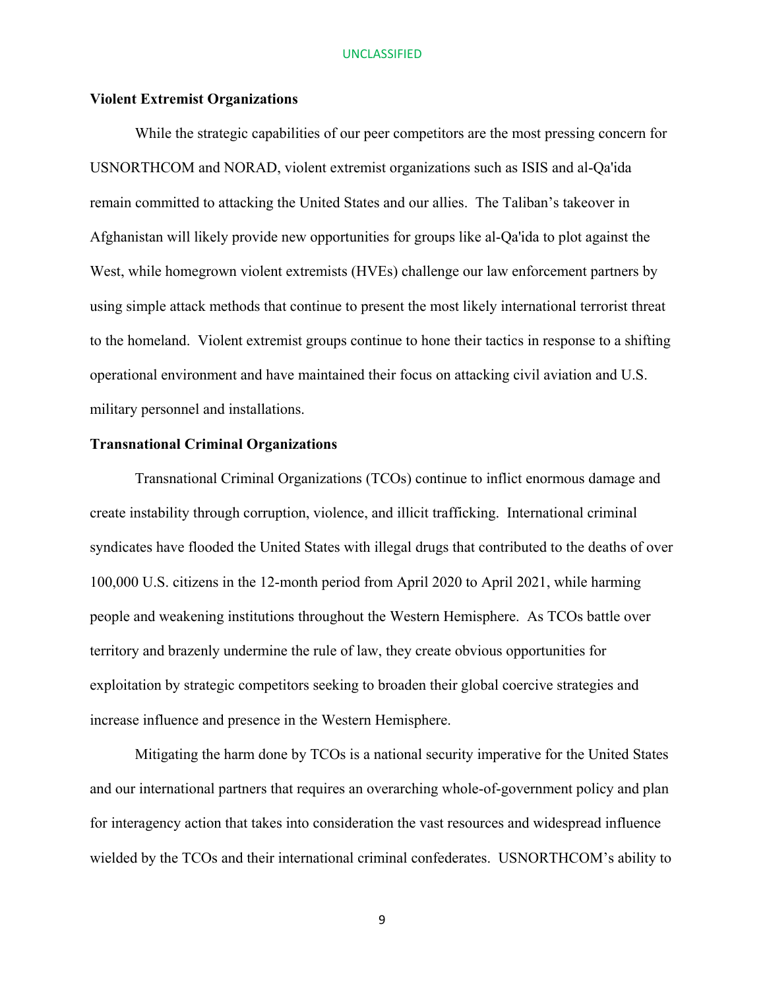## **Violent Extremist Organizations**

While the strategic capabilities of our peer competitors are the most pressing concern for USNORTHCOM and NORAD, violent extremist organizations such as ISIS and al-Qa'ida remain committed to attacking the United States and our allies. The Taliban's takeover in Afghanistan will likely provide new opportunities for groups like al-Qa'ida to plot against the West, while homegrown violent extremists (HVEs) challenge our law enforcement partners by using simple attack methods that continue to present the most likely international terrorist threat to the homeland. Violent extremist groups continue to hone their tactics in response to a shifting operational environment and have maintained their focus on attacking civil aviation and U.S. military personnel and installations.

## **Transnational Criminal Organizations**

Transnational Criminal Organizations (TCOs) continue to inflict enormous damage and create instability through corruption, violence, and illicit trafficking. International criminal syndicates have flooded the United States with illegal drugs that contributed to the deaths of over 100,000 U.S. citizens in the 12-month period from April 2020 to April 2021, while harming people and weakening institutions throughout the Western Hemisphere. As TCOs battle over territory and brazenly undermine the rule of law, they create obvious opportunities for exploitation by strategic competitors seeking to broaden their global coercive strategies and increase influence and presence in the Western Hemisphere.

Mitigating the harm done by TCOs is a national security imperative for the United States and our international partners that requires an overarching whole-of-government policy and plan for interagency action that takes into consideration the vast resources and widespread influence wielded by the TCOs and their international criminal confederates. USNORTHCOM's ability to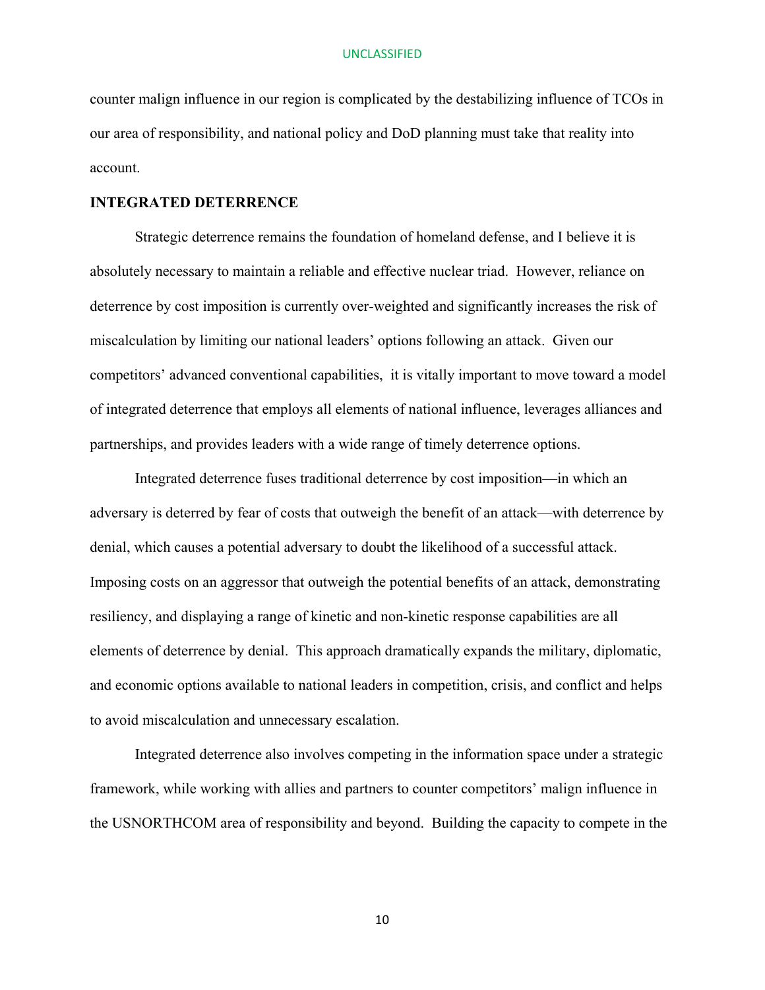counter malign influence in our region is complicated by the destabilizing influence of TCOs in our area of responsibility, and national policy and DoD planning must take that reality into account.

## **INTEGRATED DETERRENCE**

Strategic deterrence remains the foundation of homeland defense, and I believe it is absolutely necessary to maintain a reliable and effective nuclear triad. However, reliance on deterrence by cost imposition is currently over-weighted and significantly increases the risk of miscalculation by limiting our national leaders' options following an attack. Given our competitors' advanced conventional capabilities, it is vitally important to move toward a model of integrated deterrence that employs all elements of national influence, leverages alliances and partnerships, and provides leaders with a wide range of timely deterrence options.

Integrated deterrence fuses traditional deterrence by cost imposition—in which an adversary is deterred by fear of costs that outweigh the benefit of an attack—with deterrence by denial, which causes a potential adversary to doubt the likelihood of a successful attack. Imposing costs on an aggressor that outweigh the potential benefits of an attack, demonstrating resiliency, and displaying a range of kinetic and non-kinetic response capabilities are all elements of deterrence by denial. This approach dramatically expands the military, diplomatic, and economic options available to national leaders in competition, crisis, and conflict and helps to avoid miscalculation and unnecessary escalation.

Integrated deterrence also involves competing in the information space under a strategic framework, while working with allies and partners to counter competitors' malign influence in the USNORTHCOM area of responsibility and beyond. Building the capacity to compete in the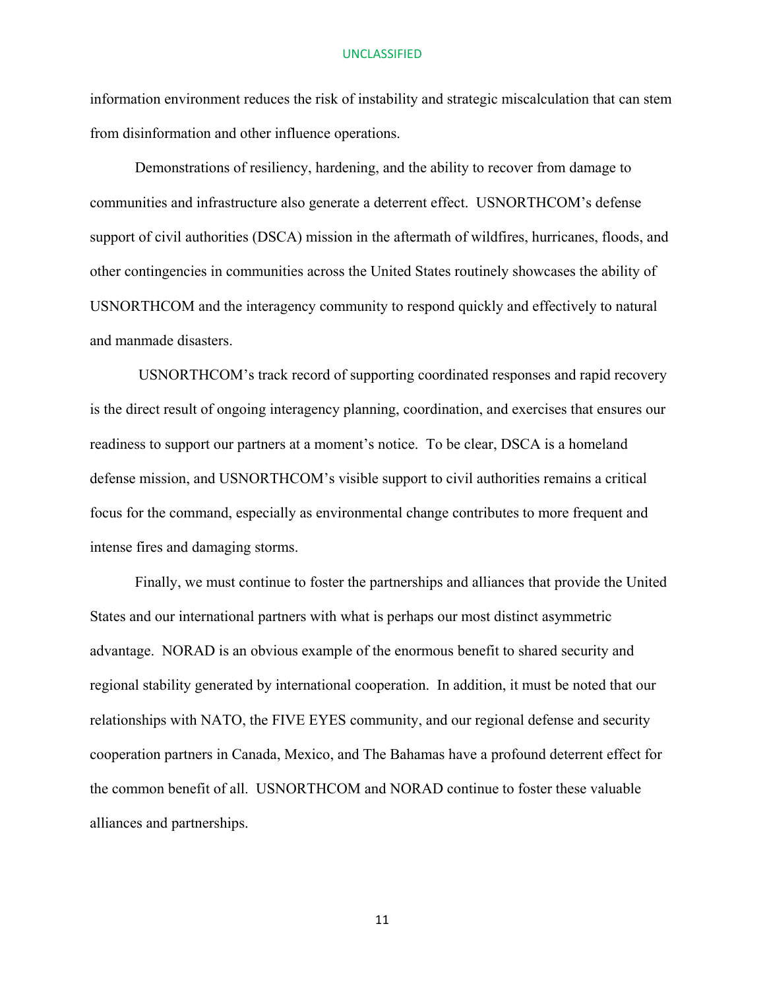information environment reduces the risk of instability and strategic miscalculation that can stem from disinformation and other influence operations.

Demonstrations of resiliency, hardening, and the ability to recover from damage to communities and infrastructure also generate a deterrent effect. USNORTHCOM's defense support of civil authorities (DSCA) mission in the aftermath of wildfires, hurricanes, floods, and other contingencies in communities across the United States routinely showcases the ability of USNORTHCOM and the interagency community to respond quickly and effectively to natural and manmade disasters.

USNORTHCOM's track record of supporting coordinated responses and rapid recovery is the direct result of ongoing interagency planning, coordination, and exercises that ensures our readiness to support our partners at a moment's notice. To be clear, DSCA is a homeland defense mission, and USNORTHCOM's visible support to civil authorities remains a critical focus for the command, especially as environmental change contributes to more frequent and intense fires and damaging storms.

Finally, we must continue to foster the partnerships and alliances that provide the United States and our international partners with what is perhaps our most distinct asymmetric advantage. NORAD is an obvious example of the enormous benefit to shared security and regional stability generated by international cooperation. In addition, it must be noted that our relationships with NATO, the FIVE EYES community, and our regional defense and security cooperation partners in Canada, Mexico, and The Bahamas have a profound deterrent effect for the common benefit of all. USNORTHCOM and NORAD continue to foster these valuable alliances and partnerships.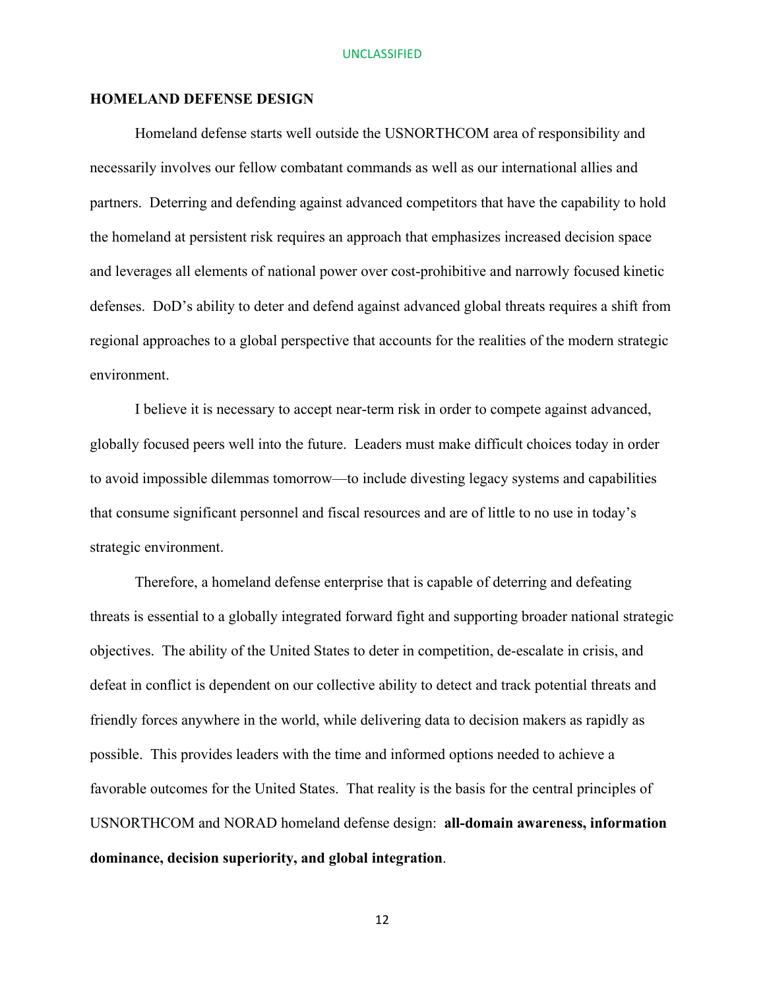## **HOMELAND DEFENSE DESIGN**

Homeland defense starts well outside the USNORTHCOM area of responsibility and necessarily involves our fellow combatant commands as well as our international allies and partners. Deterring and defending against advanced competitors that have the capability to hold the homeland at persistent risk requires an approach that emphasizes increased decision space and leverages all elements of national power over cost-prohibitive and narrowly focused kinetic defenses. DoD's ability to deter and defend against advanced global threats requires a shift from regional approaches to a global perspective that accounts for the realities of the modern strategic environment.

I believe it is necessary to accept near-term risk in order to compete against advanced, globally focused peers well into the future. Leaders must make difficult choices today in order to avoid impossible dilemmas tomorrow—to include divesting legacy systems and capabilities that consume significant personnel and fiscal resources and are of little to no use in today's strategic environment.

Therefore, a homeland defense enterprise that is capable of deterring and defeating threats is essential to a globally integrated forward fight and supporting broader national strategic objectives. The ability of the United States to deter in competition, de-escalate in crisis, and defeat in conflict is dependent on our collective ability to detect and track potential threats and friendly forces anywhere in the world, while delivering data to decision makers as rapidly as possible. This provides leaders with the time and informed options needed to achieve a favorable outcomes for the United States. That reality is the basis for the central principles of USNORTHCOM and NORAD homeland defense design: **all-domain awareness, information dominance, decision superiority, and global integration**.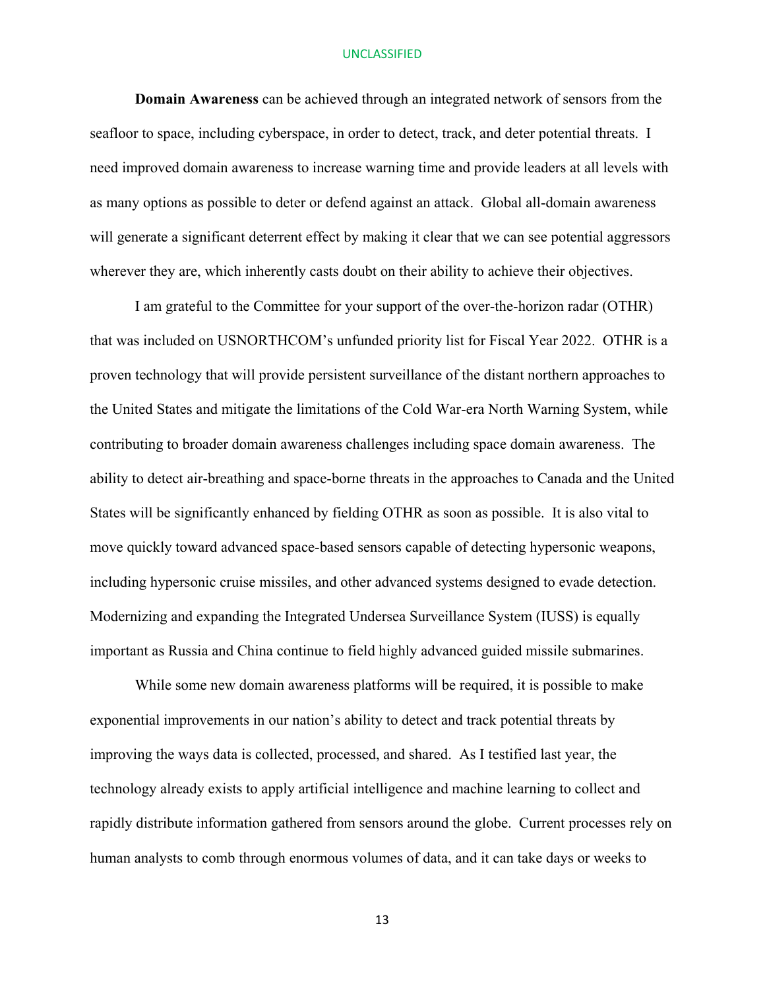**Domain Awareness** can be achieved through an integrated network of sensors from the seafloor to space, including cyberspace, in order to detect, track, and deter potential threats. I need improved domain awareness to increase warning time and provide leaders at all levels with as many options as possible to deter or defend against an attack. Global all-domain awareness will generate a significant deterrent effect by making it clear that we can see potential aggressors wherever they are, which inherently casts doubt on their ability to achieve their objectives.

I am grateful to the Committee for your support of the over-the-horizon radar (OTHR) that was included on USNORTHCOM's unfunded priority list for Fiscal Year 2022. OTHR is a proven technology that will provide persistent surveillance of the distant northern approaches to the United States and mitigate the limitations of the Cold War-era North Warning System, while contributing to broader domain awareness challenges including space domain awareness. The ability to detect air-breathing and space-borne threats in the approaches to Canada and the United States will be significantly enhanced by fielding OTHR as soon as possible. It is also vital to move quickly toward advanced space-based sensors capable of detecting hypersonic weapons, including hypersonic cruise missiles, and other advanced systems designed to evade detection. Modernizing and expanding the Integrated Undersea Surveillance System (IUSS) is equally important as Russia and China continue to field highly advanced guided missile submarines.

While some new domain awareness platforms will be required, it is possible to make exponential improvements in our nation's ability to detect and track potential threats by improving the ways data is collected, processed, and shared. As I testified last year, the technology already exists to apply artificial intelligence and machine learning to collect and rapidly distribute information gathered from sensors around the globe. Current processes rely on human analysts to comb through enormous volumes of data, and it can take days or weeks to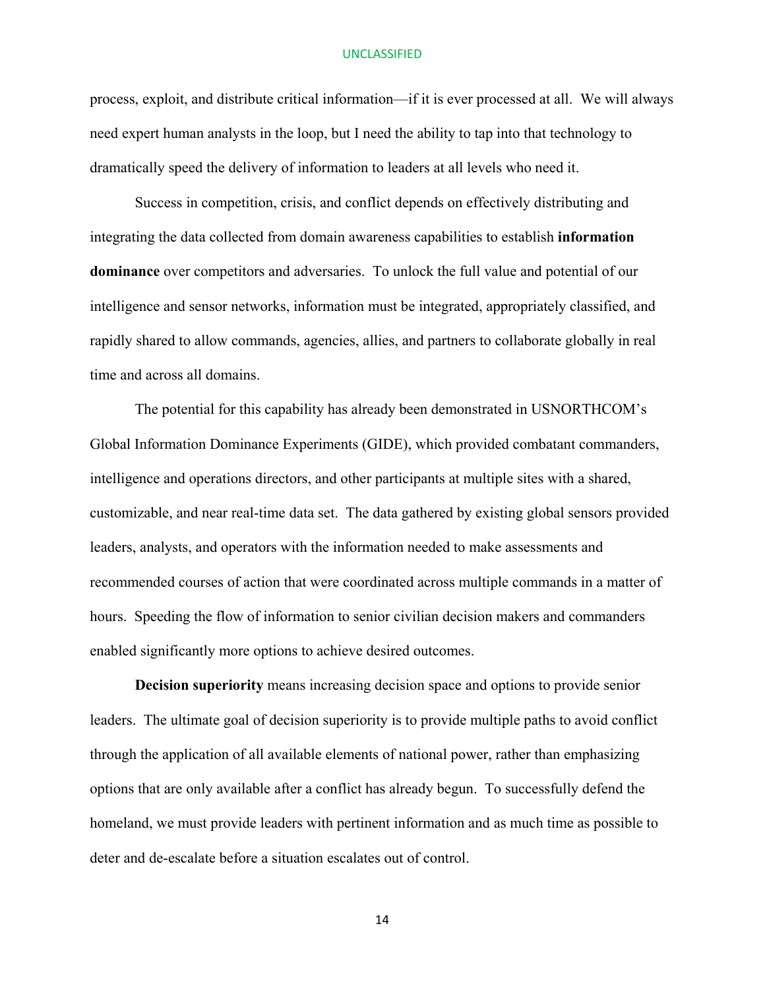process, exploit, and distribute critical information—if it is ever processed at all. We will always need expert human analysts in the loop, but I need the ability to tap into that technology to dramatically speed the delivery of information to leaders at all levels who need it.

Success in competition, crisis, and conflict depends on effectively distributing and integrating the data collected from domain awareness capabilities to establish **information dominance** over competitors and adversaries. To unlock the full value and potential of our intelligence and sensor networks, information must be integrated, appropriately classified, and rapidly shared to allow commands, agencies, allies, and partners to collaborate globally in real time and across all domains.

The potential for this capability has already been demonstrated in USNORTHCOM's Global Information Dominance Experiments (GIDE), which provided combatant commanders, intelligence and operations directors, and other participants at multiple sites with a shared, customizable, and near real-time data set. The data gathered by existing global sensors provided leaders, analysts, and operators with the information needed to make assessments and recommended courses of action that were coordinated across multiple commands in a matter of hours. Speeding the flow of information to senior civilian decision makers and commanders enabled significantly more options to achieve desired outcomes.

**Decision superiority** means increasing decision space and options to provide senior leaders. The ultimate goal of decision superiority is to provide multiple paths to avoid conflict through the application of all available elements of national power, rather than emphasizing options that are only available after a conflict has already begun. To successfully defend the homeland, we must provide leaders with pertinent information and as much time as possible to deter and de-escalate before a situation escalates out of control.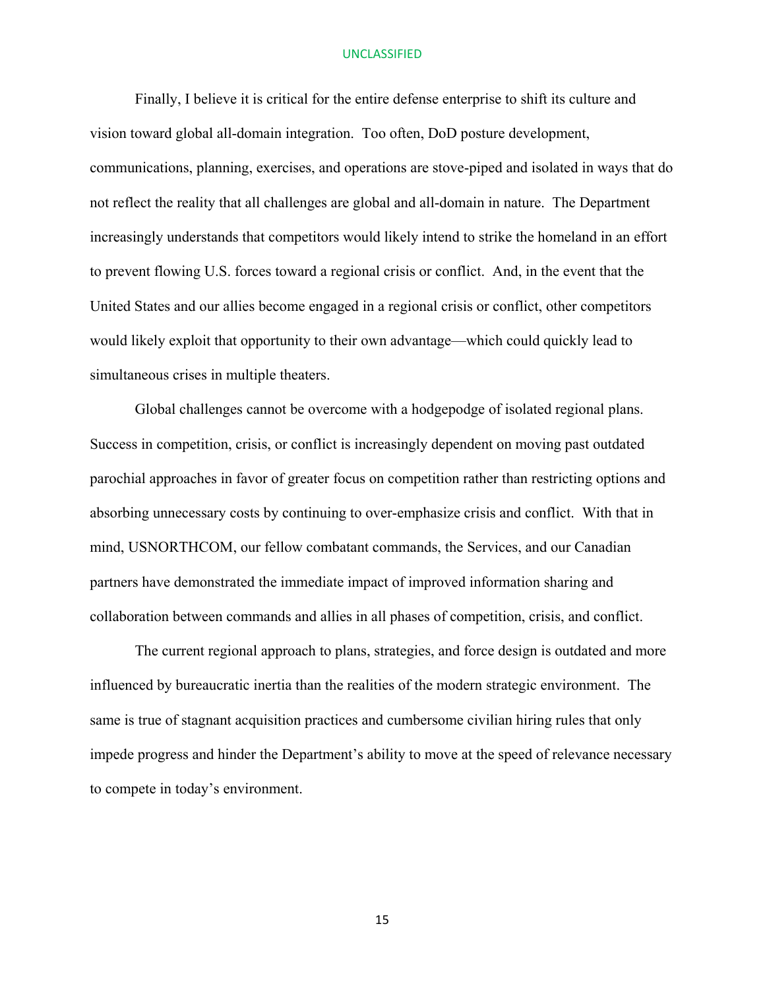Finally, I believe it is critical for the entire defense enterprise to shift its culture and vision toward global all-domain integration. Too often, DoD posture development, communications, planning, exercises, and operations are stove-piped and isolated in ways that do not reflect the reality that all challenges are global and all-domain in nature. The Department increasingly understands that competitors would likely intend to strike the homeland in an effort to prevent flowing U.S. forces toward a regional crisis or conflict. And, in the event that the United States and our allies become engaged in a regional crisis or conflict, other competitors would likely exploit that opportunity to their own advantage—which could quickly lead to simultaneous crises in multiple theaters.

Global challenges cannot be overcome with a hodgepodge of isolated regional plans. Success in competition, crisis, or conflict is increasingly dependent on moving past outdated parochial approaches in favor of greater focus on competition rather than restricting options and absorbing unnecessary costs by continuing to over-emphasize crisis and conflict. With that in mind, USNORTHCOM, our fellow combatant commands, the Services, and our Canadian partners have demonstrated the immediate impact of improved information sharing and collaboration between commands and allies in all phases of competition, crisis, and conflict.

The current regional approach to plans, strategies, and force design is outdated and more influenced by bureaucratic inertia than the realities of the modern strategic environment. The same is true of stagnant acquisition practices and cumbersome civilian hiring rules that only impede progress and hinder the Department's ability to move at the speed of relevance necessary to compete in today's environment.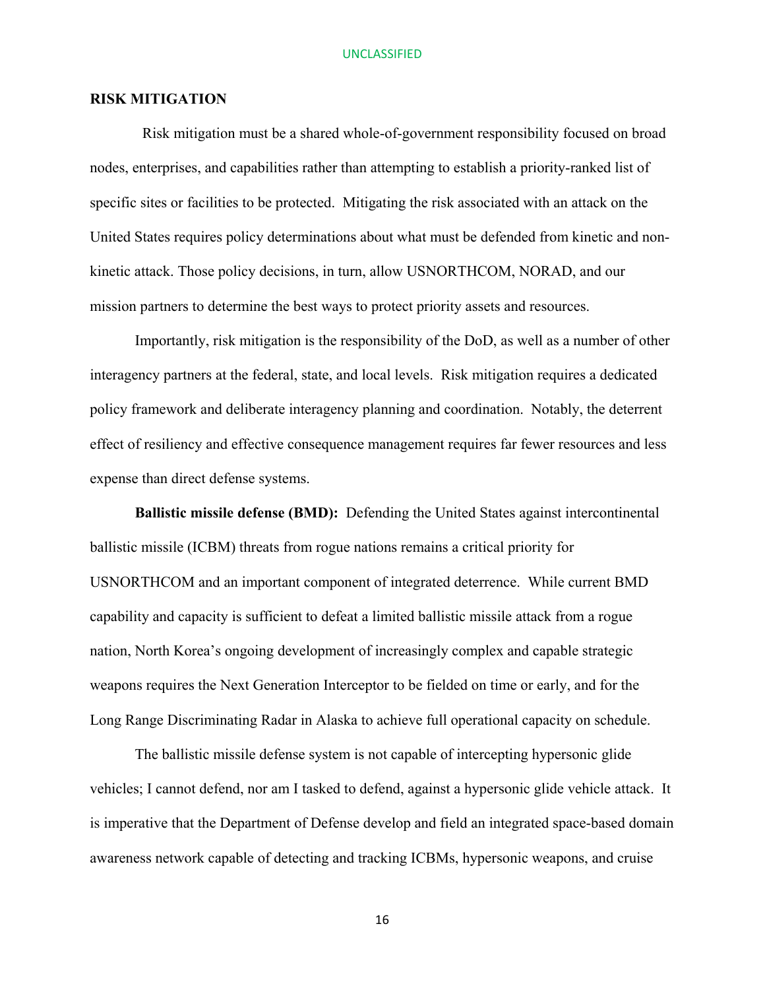## **RISK MITIGATION**

 Risk mitigation must be a shared whole-of-government responsibility focused on broad nodes, enterprises, and capabilities rather than attempting to establish a priority-ranked list of specific sites or facilities to be protected. Mitigating the risk associated with an attack on the United States requires policy determinations about what must be defended from kinetic and nonkinetic attack. Those policy decisions, in turn, allow USNORTHCOM, NORAD, and our mission partners to determine the best ways to protect priority assets and resources.

Importantly, risk mitigation is the responsibility of the DoD, as well as a number of other interagency partners at the federal, state, and local levels. Risk mitigation requires a dedicated policy framework and deliberate interagency planning and coordination. Notably, the deterrent effect of resiliency and effective consequence management requires far fewer resources and less expense than direct defense systems.

**Ballistic missile defense (BMD):** Defending the United States against intercontinental ballistic missile (ICBM) threats from rogue nations remains a critical priority for USNORTHCOM and an important component of integrated deterrence. While current BMD capability and capacity is sufficient to defeat a limited ballistic missile attack from a rogue nation, North Korea's ongoing development of increasingly complex and capable strategic weapons requires the Next Generation Interceptor to be fielded on time or early, and for the Long Range Discriminating Radar in Alaska to achieve full operational capacity on schedule.

The ballistic missile defense system is not capable of intercepting hypersonic glide vehicles; I cannot defend, nor am I tasked to defend, against a hypersonic glide vehicle attack. It is imperative that the Department of Defense develop and field an integrated space-based domain awareness network capable of detecting and tracking ICBMs, hypersonic weapons, and cruise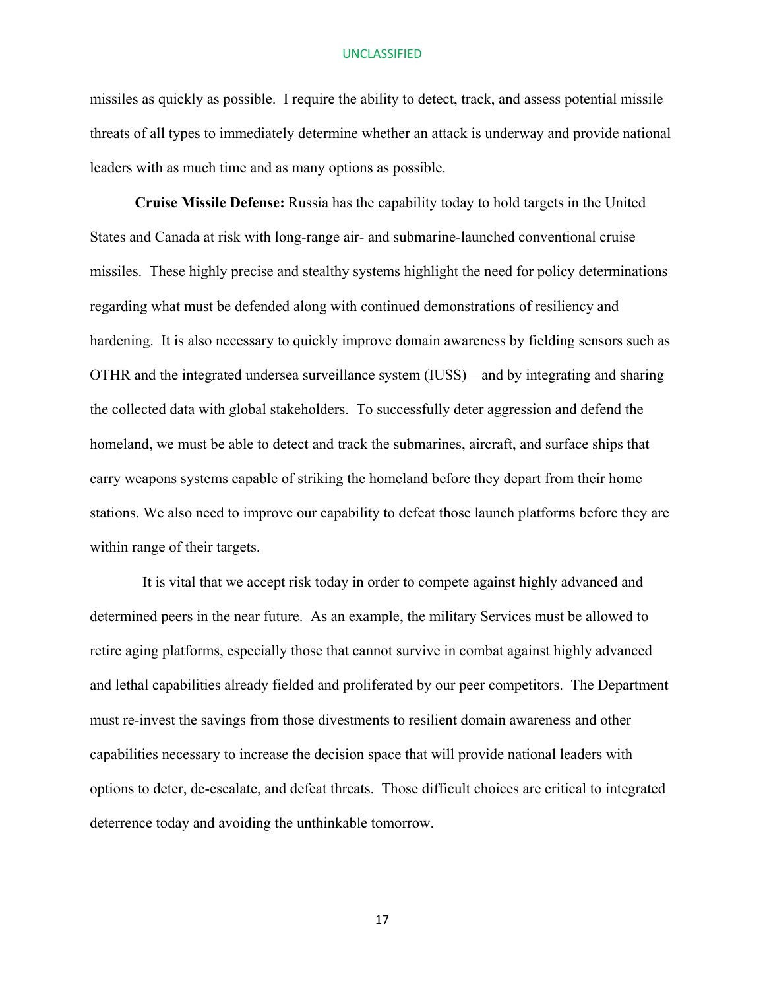missiles as quickly as possible. I require the ability to detect, track, and assess potential missile threats of all types to immediately determine whether an attack is underway and provide national leaders with as much time and as many options as possible.

**Cruise Missile Defense:** Russia has the capability today to hold targets in the United States and Canada at risk with long-range air- and submarine-launched conventional cruise missiles. These highly precise and stealthy systems highlight the need for policy determinations regarding what must be defended along with continued demonstrations of resiliency and hardening. It is also necessary to quickly improve domain awareness by fielding sensors such as OTHR and the integrated undersea surveillance system (IUSS)—and by integrating and sharing the collected data with global stakeholders. To successfully deter aggression and defend the homeland, we must be able to detect and track the submarines, aircraft, and surface ships that carry weapons systems capable of striking the homeland before they depart from their home stations. We also need to improve our capability to defeat those launch platforms before they are within range of their targets.

 It is vital that we accept risk today in order to compete against highly advanced and determined peers in the near future. As an example, the military Services must be allowed to retire aging platforms, especially those that cannot survive in combat against highly advanced and lethal capabilities already fielded and proliferated by our peer competitors. The Department must re-invest the savings from those divestments to resilient domain awareness and other capabilities necessary to increase the decision space that will provide national leaders with options to deter, de-escalate, and defeat threats. Those difficult choices are critical to integrated deterrence today and avoiding the unthinkable tomorrow.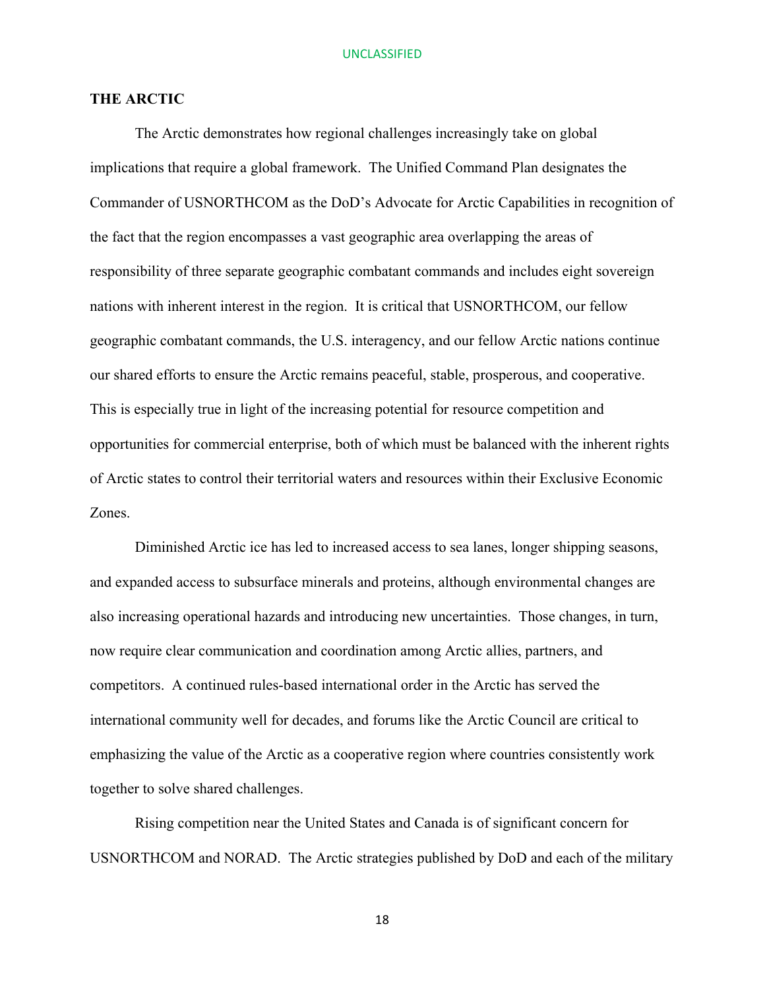## **THE ARCTIC**

The Arctic demonstrates how regional challenges increasingly take on global implications that require a global framework. The Unified Command Plan designates the Commander of USNORTHCOM as the DoD's Advocate for Arctic Capabilities in recognition of the fact that the region encompasses a vast geographic area overlapping the areas of responsibility of three separate geographic combatant commands and includes eight sovereign nations with inherent interest in the region. It is critical that USNORTHCOM, our fellow geographic combatant commands, the U.S. interagency, and our fellow Arctic nations continue our shared efforts to ensure the Arctic remains peaceful, stable, prosperous, and cooperative. This is especially true in light of the increasing potential for resource competition and opportunities for commercial enterprise, both of which must be balanced with the inherent rights of Arctic states to control their territorial waters and resources within their Exclusive Economic Zones.

Diminished Arctic ice has led to increased access to sea lanes, longer shipping seasons, and expanded access to subsurface minerals and proteins, although environmental changes are also increasing operational hazards and introducing new uncertainties. Those changes, in turn, now require clear communication and coordination among Arctic allies, partners, and competitors. A continued rules-based international order in the Arctic has served the international community well for decades, and forums like the Arctic Council are critical to emphasizing the value of the Arctic as a cooperative region where countries consistently work together to solve shared challenges.

Rising competition near the United States and Canada is of significant concern for USNORTHCOM and NORAD. The Arctic strategies published by DoD and each of the military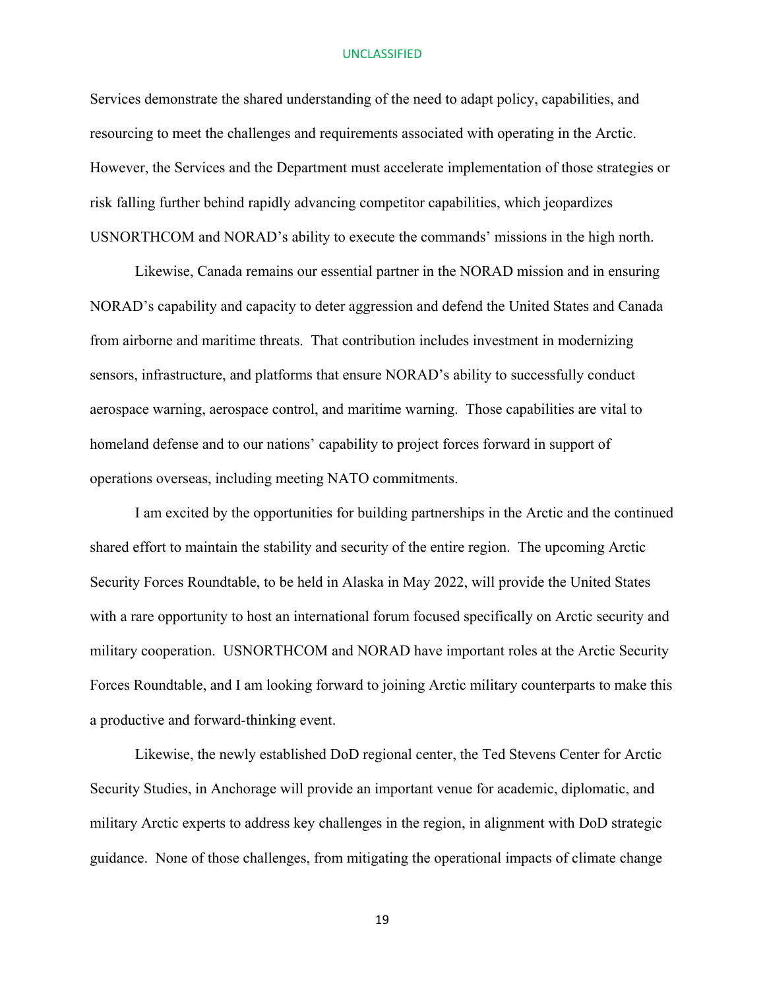Services demonstrate the shared understanding of the need to adapt policy, capabilities, and resourcing to meet the challenges and requirements associated with operating in the Arctic. However, the Services and the Department must accelerate implementation of those strategies or risk falling further behind rapidly advancing competitor capabilities, which jeopardizes USNORTHCOM and NORAD's ability to execute the commands' missions in the high north.

Likewise, Canada remains our essential partner in the NORAD mission and in ensuring NORAD's capability and capacity to deter aggression and defend the United States and Canada from airborne and maritime threats. That contribution includes investment in modernizing sensors, infrastructure, and platforms that ensure NORAD's ability to successfully conduct aerospace warning, aerospace control, and maritime warning. Those capabilities are vital to homeland defense and to our nations' capability to project forces forward in support of operations overseas, including meeting NATO commitments.

I am excited by the opportunities for building partnerships in the Arctic and the continued shared effort to maintain the stability and security of the entire region. The upcoming Arctic Security Forces Roundtable, to be held in Alaska in May 2022, will provide the United States with a rare opportunity to host an international forum focused specifically on Arctic security and military cooperation. USNORTHCOM and NORAD have important roles at the Arctic Security Forces Roundtable, and I am looking forward to joining Arctic military counterparts to make this a productive and forward-thinking event.

Likewise, the newly established DoD regional center, the Ted Stevens Center for Arctic Security Studies, in Anchorage will provide an important venue for academic, diplomatic, and military Arctic experts to address key challenges in the region, in alignment with DoD strategic guidance. None of those challenges, from mitigating the operational impacts of climate change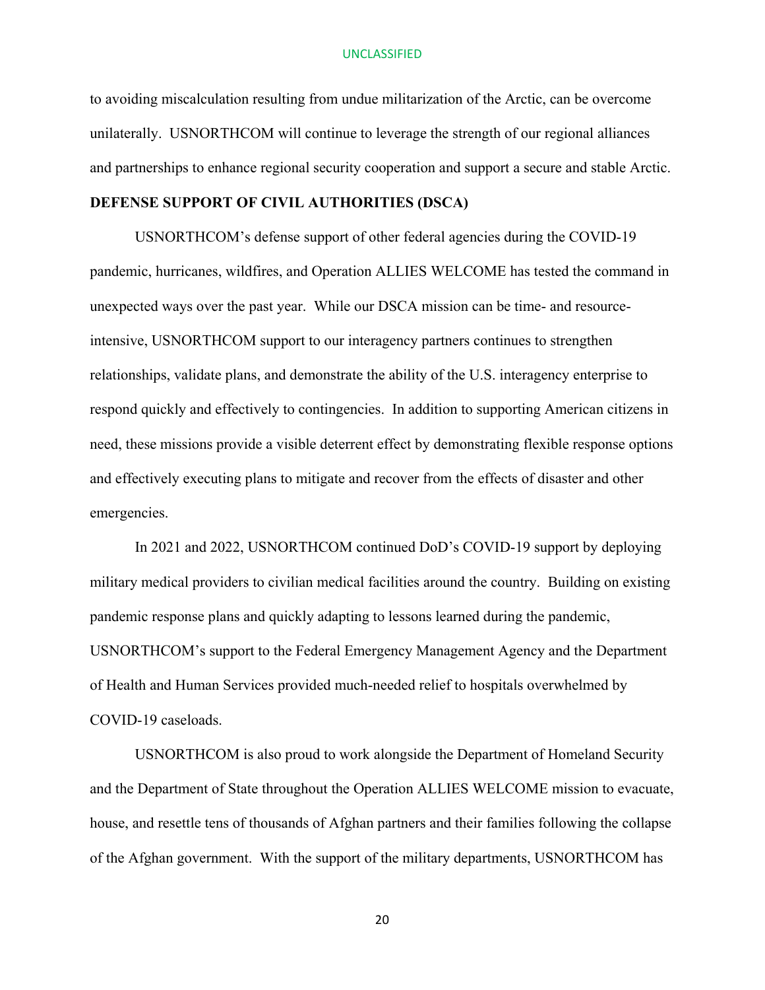to avoiding miscalculation resulting from undue militarization of the Arctic, can be overcome unilaterally. USNORTHCOM will continue to leverage the strength of our regional alliances and partnerships to enhance regional security cooperation and support a secure and stable Arctic.

## **DEFENSE SUPPORT OF CIVIL AUTHORITIES (DSCA)**

USNORTHCOM's defense support of other federal agencies during the COVID-19 pandemic, hurricanes, wildfires, and Operation ALLIES WELCOME has tested the command in unexpected ways over the past year. While our DSCA mission can be time- and resourceintensive, USNORTHCOM support to our interagency partners continues to strengthen relationships, validate plans, and demonstrate the ability of the U.S. interagency enterprise to respond quickly and effectively to contingencies. In addition to supporting American citizens in need, these missions provide a visible deterrent effect by demonstrating flexible response options and effectively executing plans to mitigate and recover from the effects of disaster and other emergencies.

In 2021 and 2022, USNORTHCOM continued DoD's COVID-19 support by deploying military medical providers to civilian medical facilities around the country. Building on existing pandemic response plans and quickly adapting to lessons learned during the pandemic, USNORTHCOM's support to the Federal Emergency Management Agency and the Department of Health and Human Services provided much-needed relief to hospitals overwhelmed by COVID-19 caseloads.

USNORTHCOM is also proud to work alongside the Department of Homeland Security and the Department of State throughout the Operation ALLIES WELCOME mission to evacuate, house, and resettle tens of thousands of Afghan partners and their families following the collapse of the Afghan government. With the support of the military departments, USNORTHCOM has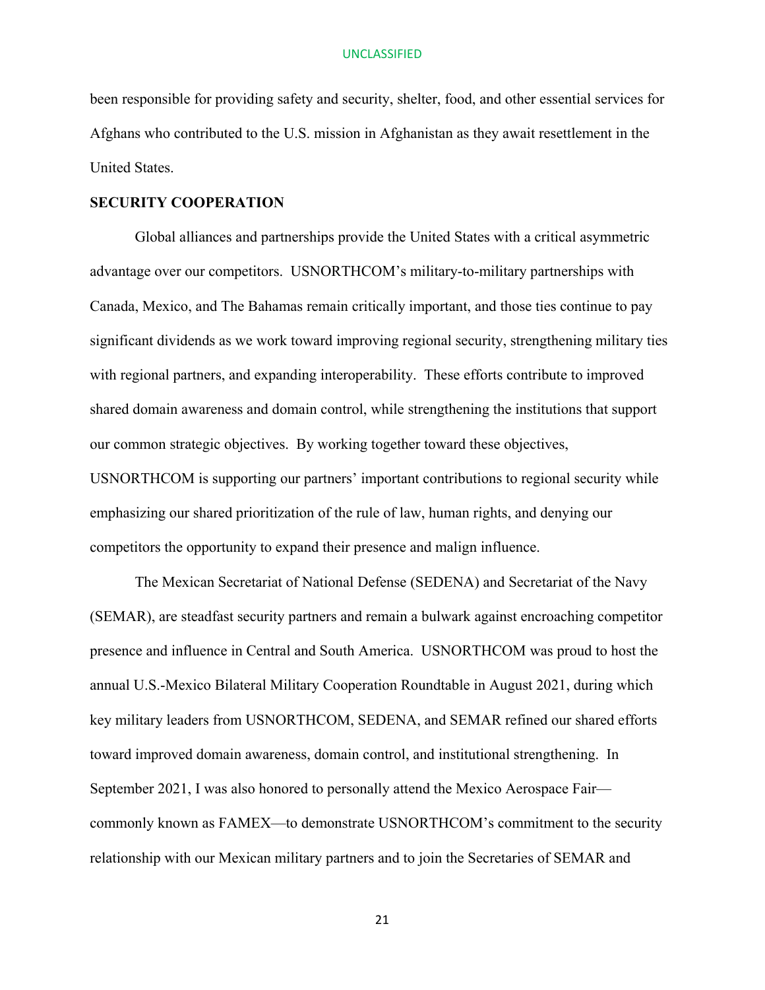been responsible for providing safety and security, shelter, food, and other essential services for Afghans who contributed to the U.S. mission in Afghanistan as they await resettlement in the United States.

## **SECURITY COOPERATION**

Global alliances and partnerships provide the United States with a critical asymmetric advantage over our competitors. USNORTHCOM's military-to-military partnerships with Canada, Mexico, and The Bahamas remain critically important, and those ties continue to pay significant dividends as we work toward improving regional security, strengthening military ties with regional partners, and expanding interoperability. These efforts contribute to improved shared domain awareness and domain control, while strengthening the institutions that support our common strategic objectives. By working together toward these objectives, USNORTHCOM is supporting our partners' important contributions to regional security while emphasizing our shared prioritization of the rule of law, human rights, and denying our competitors the opportunity to expand their presence and malign influence.

The Mexican Secretariat of National Defense (SEDENA) and Secretariat of the Navy (SEMAR), are steadfast security partners and remain a bulwark against encroaching competitor presence and influence in Central and South America. USNORTHCOM was proud to host the annual U.S.-Mexico Bilateral Military Cooperation Roundtable in August 2021, during which key military leaders from USNORTHCOM, SEDENA, and SEMAR refined our shared efforts toward improved domain awareness, domain control, and institutional strengthening. In September 2021, I was also honored to personally attend the Mexico Aerospace Fair commonly known as FAMEX—to demonstrate USNORTHCOM's commitment to the security relationship with our Mexican military partners and to join the Secretaries of SEMAR and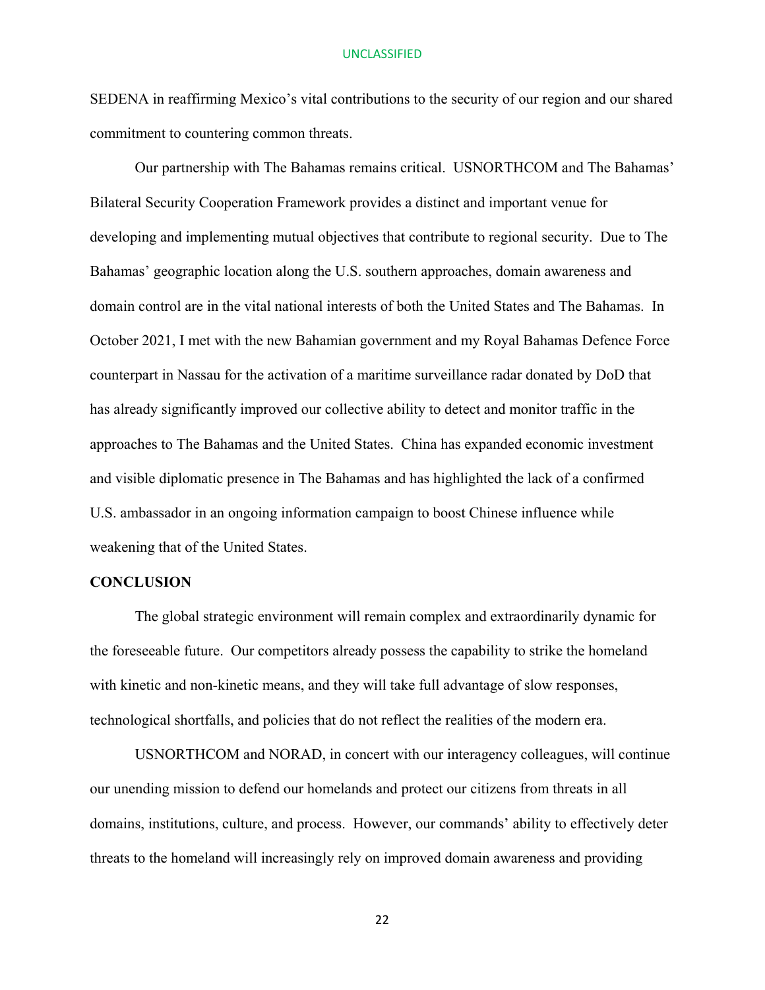SEDENA in reaffirming Mexico's vital contributions to the security of our region and our shared commitment to countering common threats.

Our partnership with The Bahamas remains critical. USNORTHCOM and The Bahamas' Bilateral Security Cooperation Framework provides a distinct and important venue for developing and implementing mutual objectives that contribute to regional security. Due to The Bahamas' geographic location along the U.S. southern approaches, domain awareness and domain control are in the vital national interests of both the United States and The Bahamas. In October 2021, I met with the new Bahamian government and my Royal Bahamas Defence Force counterpart in Nassau for the activation of a maritime surveillance radar donated by DoD that has already significantly improved our collective ability to detect and monitor traffic in the approaches to The Bahamas and the United States. China has expanded economic investment and visible diplomatic presence in The Bahamas and has highlighted the lack of a confirmed U.S. ambassador in an ongoing information campaign to boost Chinese influence while weakening that of the United States.

## **CONCLUSION**

The global strategic environment will remain complex and extraordinarily dynamic for the foreseeable future. Our competitors already possess the capability to strike the homeland with kinetic and non-kinetic means, and they will take full advantage of slow responses, technological shortfalls, and policies that do not reflect the realities of the modern era.

USNORTHCOM and NORAD, in concert with our interagency colleagues, will continue our unending mission to defend our homelands and protect our citizens from threats in all domains, institutions, culture, and process. However, our commands' ability to effectively deter threats to the homeland will increasingly rely on improved domain awareness and providing